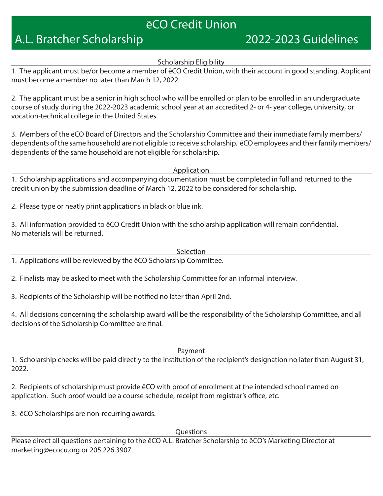# eCO Credit Union

# A.L. Bratcher Scholarship 2022-2023 Guidelines

#### Scholarship Eligibility

1. The applicant must be/or become a member of ēCO Credit Union, with their account in good standing. Applicant must become a member no later than March 12, 2022.

2. The applicant must be a senior in high school who will be enrolled or plan to be enrolled in an undergraduate course of study during the 2022-2023 academic school year at an accredited 2- or 4- year college, university, or vocation-technical college in the United States.

3. Members of the ēCO Board of Directors and the Scholarship Committee and their immediate family members/ dependents of the same household are not eligible to receive scholarship. ēCO employees and their family members/ dependents of the same household are not eligible for scholarship.

Application

1. Scholarship applications and accompanying documentation must be completed in full and returned to the credit union by the submission deadline of March 12, 2022 to be considered for scholarship.

2. Please type or neatly print applications in black or blue ink.

3. All information provided to ēCO Credit Union with the scholarship application will remain confidential. No materials will be returned.

Selection

1. Applications will be reviewed by the ēCO Scholarship Committee.

2. Finalists may be asked to meet with the Scholarship Committee for an informal interview.

3. Recipients of the Scholarship will be notified no later than April 2nd.

4. All decisions concerning the scholarship award will be the responsibility of the Scholarship Committee, and all decisions of the Scholarship Committee are final.

Payment

1. Scholarship checks will be paid directly to the institution of the recipient's designation no later than August 31, 2022.

2. Recipients of scholarship must provide ēCO with proof of enrollment at the intended school named on application. Such proof would be a course schedule, receipt from registrar's office, etc.

3. ēCO Scholarships are non-recurring awards.

Questions

Please direct all questions pertaining to the ēCO A.L. Bratcher Scholarship to ēCO's Marketing Director at marketing@ecocu.org or 205.226.3907.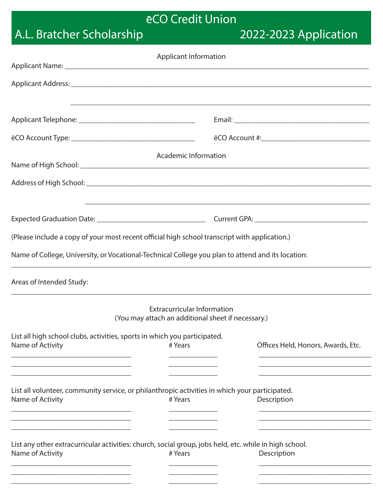# eCO Credit Union

# A.L. Bratcher Scholarship 2022-2023 Application

| <b>Applicant Information</b>                                                                           |                                                                                          |                                                                                   |  |
|--------------------------------------------------------------------------------------------------------|------------------------------------------------------------------------------------------|-----------------------------------------------------------------------------------|--|
|                                                                                                        |                                                                                          |                                                                                   |  |
|                                                                                                        |                                                                                          |                                                                                   |  |
|                                                                                                        |                                                                                          |                                                                                   |  |
|                                                                                                        |                                                                                          |                                                                                   |  |
|                                                                                                        |                                                                                          |                                                                                   |  |
|                                                                                                        | Academic Information                                                                     |                                                                                   |  |
|                                                                                                        |                                                                                          |                                                                                   |  |
|                                                                                                        |                                                                                          | ,我们也不能在这里的时候,我们也不能在这里的时候,我们也不能会在这里的时候,我们也不能会在这里的时候,我们也不能会在这里的时候,我们也不能会在这里的时候,我们也不 |  |
|                                                                                                        |                                                                                          |                                                                                   |  |
| (Please include a copy of your most recent official high school transcript with application.)          |                                                                                          |                                                                                   |  |
| Name of College, University, or Vocational-Technical College you plan to attend and its location:      |                                                                                          |                                                                                   |  |
| Areas of Intended Study:                                                                               |                                                                                          |                                                                                   |  |
|                                                                                                        | <b>Extracurricular Information</b><br>(You may attach an additional sheet if necessary.) |                                                                                   |  |
| List all high school clubs, activities, sports in which you participated.                              |                                                                                          |                                                                                   |  |
| Name of Activity                                                                                       | # Years                                                                                  | Offices Held, Honors, Awards, Etc.                                                |  |
|                                                                                                        |                                                                                          |                                                                                   |  |
| List all volunteer, community service, or philanthropic activities in which your participated.         |                                                                                          |                                                                                   |  |
| Name of Activity                                                                                       | # Years                                                                                  | Description                                                                       |  |
|                                                                                                        |                                                                                          |                                                                                   |  |
| List any other extracurricular activities: church, social group, jobs held, etc. while in high school. |                                                                                          |                                                                                   |  |
| Name of Activity                                                                                       | # Years                                                                                  | Description                                                                       |  |
|                                                                                                        |                                                                                          |                                                                                   |  |
|                                                                                                        |                                                                                          |                                                                                   |  |